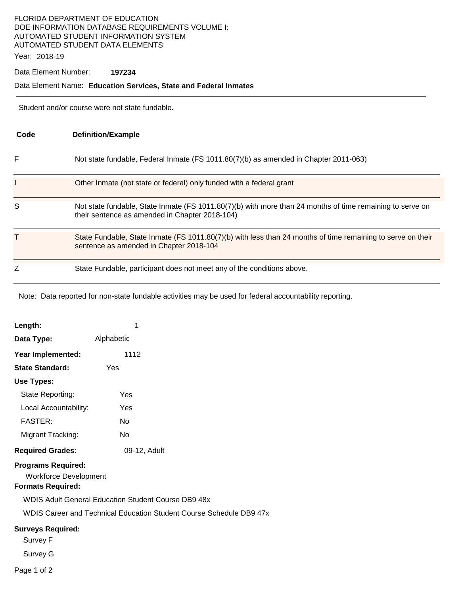## FLORIDA DEPARTMENT OF EDUCATION DOE INFORMATION DATABASE REQUIREMENTS VOLUME I: AUTOMATED STUDENT INFORMATION SYSTEM AUTOMATED STUDENT DATA ELEMENTS

Year: 2018-19

Data Element Number: **197234** 

#### Data Element Name: **Education Services, State and Federal Inmates**

Student and/or course were not state fundable.

| Code | <b>Definition/Example</b>                                                                                                                                   |
|------|-------------------------------------------------------------------------------------------------------------------------------------------------------------|
| F    | Not state fundable, Federal Inmate (FS 1011.80(7)(b) as amended in Chapter 2011-063)                                                                        |
|      | Other Inmate (not state or federal) only funded with a federal grant                                                                                        |
| S    | Not state fundable, State Inmate (FS 1011.80(7)(b) with more than 24 months of time remaining to serve on<br>their sentence as amended in Chapter 2018-104) |
| т    | State Fundable, State Inmate (FS 1011.80(7)(b) with less than 24 months of time remaining to serve on their<br>sentence as amended in Chapter 2018-104      |
|      | State Fundable, participant does not meet any of the conditions above.                                                                                      |

Note: Data reported for non-state fundable activities may be used for federal accountability reporting.

| Length:                                                   | 1                                                   |                                                                     |
|-----------------------------------------------------------|-----------------------------------------------------|---------------------------------------------------------------------|
| Data Type:                                                | Alphabetic                                          |                                                                     |
| Year Implemented:                                         | 1112                                                |                                                                     |
| <b>State Standard:</b>                                    | Yes                                                 |                                                                     |
| Use Types:                                                |                                                     |                                                                     |
| State Reporting:                                          | Yes                                                 |                                                                     |
| Local Accountability:                                     | Yes                                                 |                                                                     |
| <b>FASTER:</b>                                            | N <sub>o</sub>                                      |                                                                     |
| Migrant Tracking:                                         | No                                                  |                                                                     |
| <b>Required Grades:</b>                                   | 09-12, Adult                                        |                                                                     |
| <b>Programs Required:</b><br><b>Workforce Development</b> |                                                     |                                                                     |
| <b>Formats Required:</b>                                  |                                                     |                                                                     |
|                                                           | WDIS Adult General Education Student Course DB9 48x |                                                                     |
|                                                           |                                                     | WDIS Career and Technical Education Student Course Schedule DB9 47x |
| <b>Surveys Required:</b><br>Survey F                      |                                                     |                                                                     |
| Survey G                                                  |                                                     |                                                                     |
| Page 1 of 2                                               |                                                     |                                                                     |